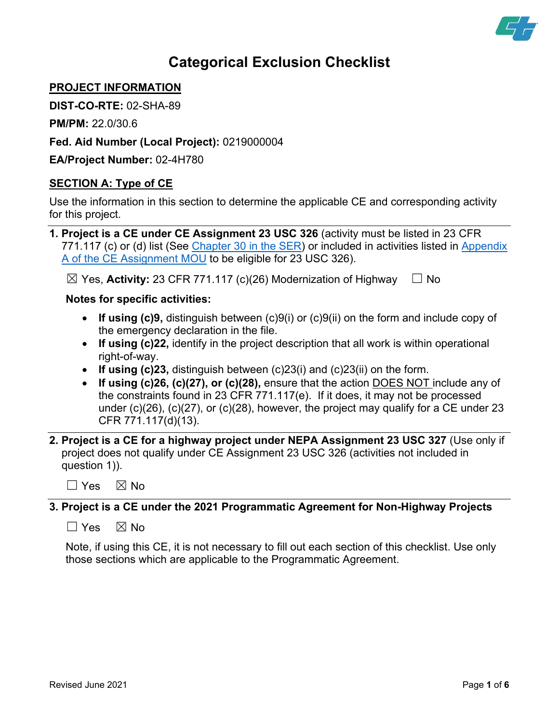

# **Categorical Exclusion Checklist**

# **PROJECT INFORMATION**

**DIST-CO-RTE:** 02-SHA-89

**PM/PM:** 22.0/30.6

**Fed. Aid Number (Local Project):** 0219000004

**EA/Project Number:** 02-4H780

# **SECTION A: Type of CE**

Use the information in this section to determine the applicable CE and corresponding activity for this project.

| 1. Project is a CE under CE Assignment 23 USC 326 (activity must be listed in 23 CFR             |
|--------------------------------------------------------------------------------------------------|
| 771.117 (c) or (d) list (See Chapter 30 in the SER) or included in activities listed in Appendix |
| A of the CE Assignment MOU to be eligible for 23 USC 326).                                       |

 $\boxtimes$  Yes, **Activity:** 23 CFR 771.117 (c)(26) Modernization of Highway  $\quad \Box$  No

## **Notes for specific activities:**

- **If using (c)9,** distinguish between (c)9(i) or (c)9(ii) on the form and include copy of the emergency declaration in the file.
- **If using (c)22,** identify in the project description that all work is within operational right-of-way.
- **If using (c)23,** distinguish between (c)23(i) and (c)23(ii) on the form.
- **If using (c)26, (c)(27), or (c)(28),** ensure that the action DOES NOT include any of the constraints found in 23 CFR 771.117(e). If it does, it may not be processed under (c)(26), (c)(27), or (c)(28), however, the project may qualify for a CE under 23 CFR 771.117(d)(13).
- **2. Project is a CE for a highway project under NEPA Assignment 23 USC 327** (Use only if project does not qualify under CE Assignment 23 USC 326 (activities not included in question 1)).
	- $\Box$  Yes  $\boxtimes$  No

## **3. Project is a CE under the 2021 Programmatic Agreement for Non-Highway Projects**

 $\Box$  Yes  $\boxtimes$  No

Note, if using this CE, it is not necessary to fill out each section of this checklist. Use only those sections which are applicable to the Programmatic Agreement.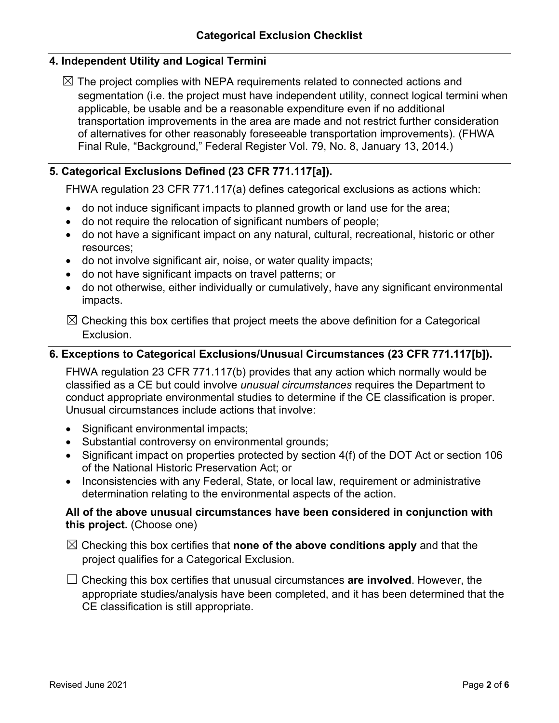# **4. Independent Utility and Logical Termini**

 $\boxtimes$  The project complies with NEPA requirements related to connected actions and segmentation (i.e. the project must have independent utility, connect logical termini when applicable, be usable and be a reasonable expenditure even if no additional transportation improvements in the area are made and not restrict further consideration of alternatives for other reasonably foreseeable transportation improvements). (FHWA Final Rule, "Background," Federal Register Vol. 79, No. 8, January 13, 2014.)

# **5. Categorical Exclusions Defined (23 CFR 771.117[a]).**

FHWA regulation 23 CFR 771.117(a) defines categorical exclusions as actions which:

- do not induce significant impacts to planned growth or land use for the area;
- do not require the relocation of significant numbers of people;
- do not have a significant impact on any natural, cultural, recreational, historic or other resources;
- do not involve significant air, noise, or water quality impacts;
- do not have significant impacts on travel patterns; or
- do not otherwise, either individually or cumulatively, have any significant environmental impacts.
- $\boxtimes$  Checking this box certifies that project meets the above definition for a Categorical Exclusion.

# **6. Exceptions to Categorical Exclusions/Unusual Circumstances (23 CFR 771.117[b]).**

FHWA regulation 23 CFR 771.117(b) provides that any action which normally would be classified as a CE but could involve *unusual circumstances* requires the Department to conduct appropriate environmental studies to determine if the CE classification is proper. Unusual circumstances include actions that involve:

- Significant environmental impacts;
- Substantial controversy on environmental grounds;
- Significant impact on properties protected by section 4(f) of the DOT Act or section 106 of the National Historic Preservation Act; or
- Inconsistencies with any Federal, State, or local law, requirement or administrative determination relating to the environmental aspects of the action.

## **All of the above unusual circumstances have been considered in conjunction with this project.** (Choose one)

- ☒ Checking this box certifies that **none of the above conditions apply** and that the project qualifies for a Categorical Exclusion.
- ☐ Checking this box certifies that unusual circumstances **are involved**. However, the appropriate studies/analysis have been completed, and it has been determined that the CE classification is still appropriate.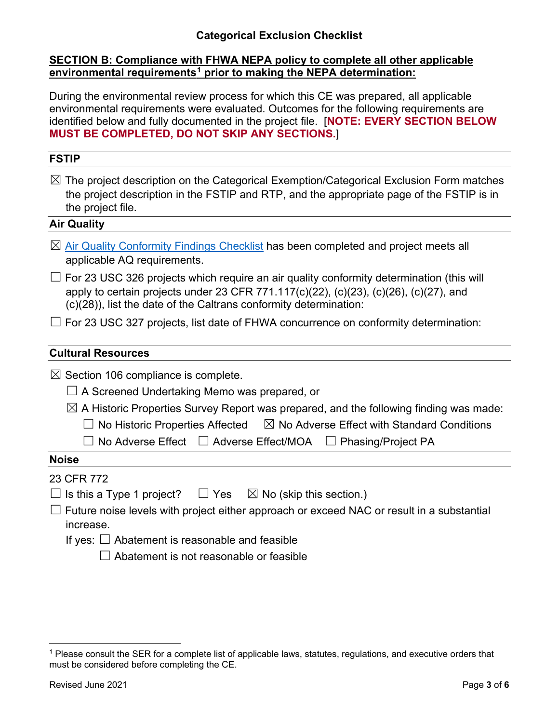## **Categorical Exclusion Checklist**

#### **SECTION B: Compliance with FHWA NEPA policy to complete all other applicable environmental requirements[1](#page-2-0) prior to making the NEPA determination:**

During the environmental review process for which this CE was prepared, all applicable environmental requirements were evaluated. Outcomes for the following requirements are identified below and fully documented in the project file. [**NOTE: EVERY SECTION BELOW MUST BE COMPLETED, DO NOT SKIP ANY SECTIONS.**]

#### **FSTIP**

 $\boxtimes$  The project description on the Categorical Exemption/Categorical Exclusion Form matches the project description in the FSTIP and RTP, and the appropriate page of the FSTIP is in the project file.

#### **Air Quality**

- $\boxtimes$  [Air Quality Conformity Findings Checklist](https://dot.ca.gov/programs/environmental-analysis/standard-environmental-reference-ser/forms-templates#conformity) has been completed and project meets all applicable AQ requirements.
- $\Box$  For 23 USC 326 projects which require an air quality conformity determination (this will apply to certain projects under 23 CFR 771.117(c)(22), (c)(23), (c)(26), (c)(27), and (c)(28)), list the date of the Caltrans conformity determination:
- $\Box$  For 23 USC 327 projects, list date of FHWA concurrence on conformity determination:

#### **Cultural Resources**

 $\boxtimes$  Section 106 compliance is complete.

- $\Box$  A Screened Undertaking Memo was prepared, or
- $\boxtimes$  A Historic Properties Survey Report was prepared, and the following finding was made:
	- $\Box$  No Historic Properties Affected  $\boxtimes$  No Adverse Effect with Standard Conditions

☐ No Adverse Effect ☐ Adverse Effect/MOA ☐ Phasing/Project PA

#### **Noise**

- 23 CFR 772
- $\Box$  Is this a Type 1 project?  $\Box$  Yes  $\Box$  No (skip this section.)
- $\Box$  Future noise levels with project either approach or exceed NAC or result in a substantial increase.
	- If yes:  $\Box$  Abatement is reasonable and feasible
		- $\Box$  Abatement is not reasonable or feasible

<span id="page-2-0"></span> $1$  Please consult the SER for a complete list of applicable laws, statutes, regulations, and executive orders that must be considered before completing the CE.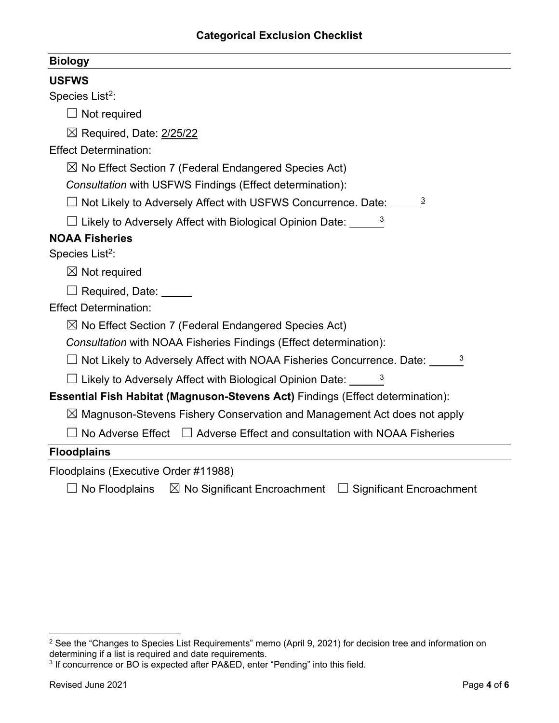| Bioloav |  |
|---------|--|
|         |  |

<span id="page-3-1"></span><span id="page-3-0"></span>

| <b>USFWS</b>                                                                            |  |  |  |  |
|-----------------------------------------------------------------------------------------|--|--|--|--|
| Species List <sup>2</sup> :                                                             |  |  |  |  |
| $\Box$ Not required                                                                     |  |  |  |  |
| $\boxtimes$ Required, Date: 2/25/22                                                     |  |  |  |  |
| <b>Effect Determination:</b>                                                            |  |  |  |  |
| $\boxtimes$ No Effect Section 7 (Federal Endangered Species Act)                        |  |  |  |  |
| Consultation with USFWS Findings (Effect determination):                                |  |  |  |  |
| $\Box$ Not Likely to Adversely Affect with USFWS Concurrence. Date: $\Box$ <sup>3</sup> |  |  |  |  |
| $\Box$ Likely to Adversely Affect with Biological Opinion Date: $\Box$ 3                |  |  |  |  |
| <b>NOAA Fisheries</b>                                                                   |  |  |  |  |
| Species List <sup>2</sup> :                                                             |  |  |  |  |
| $\boxtimes$ Not required                                                                |  |  |  |  |
| Required, Date: _____                                                                   |  |  |  |  |
| <b>Effect Determination:</b>                                                            |  |  |  |  |
| $\boxtimes$ No Effect Section 7 (Federal Endangered Species Act)                        |  |  |  |  |
| Consultation with NOAA Fisheries Findings (Effect determination):                       |  |  |  |  |
| $\Box$ Not Likely to Adversely Affect with NOAA Fisheries Concurrence. Date: $\Box$     |  |  |  |  |
| $\Box$ Likely to Adversely Affect with Biological Opinion Date: $\frac{3}{2}$           |  |  |  |  |
| <b>Essential Fish Habitat (Magnuson-Stevens Act)</b> Findings (Effect determination):   |  |  |  |  |
| $\boxtimes$ Magnuson-Stevens Fishery Conservation and Management Act does not apply     |  |  |  |  |
| No Adverse Effect $\Box$ Adverse Effect and consultation with NOAA Fisheries            |  |  |  |  |
| <b>Floodplains</b>                                                                      |  |  |  |  |
| Floodplains (Executive Order #11988)                                                    |  |  |  |  |

☐ No Floodplains ☒ No Significant Encroachment ☐ Significant Encroachment

<span id="page-3-2"></span> $^2$  See the "Changes to Species List Requirements" memo (April 9, 2021) for decision tree and information on determining if a list is required and date requirements.

<span id="page-3-3"></span><sup>&</sup>lt;sup>3</sup> If concurrence or BO is expected after PA&ED, enter "Pending" into this field.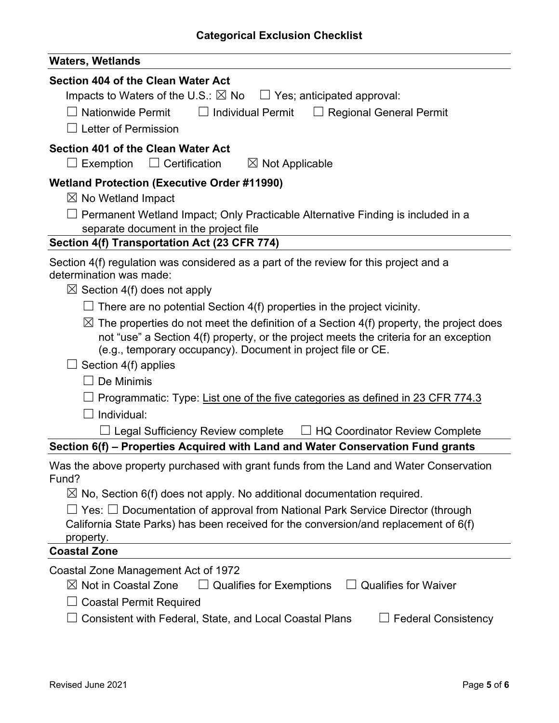| <b>Waters, Wetlands</b>                                                                                                                                                                                                                                                                                                                                                                                                 |  |  |  |  |  |
|-------------------------------------------------------------------------------------------------------------------------------------------------------------------------------------------------------------------------------------------------------------------------------------------------------------------------------------------------------------------------------------------------------------------------|--|--|--|--|--|
| Section 404 of the Clean Water Act<br>Impacts to Waters of the U.S.: $\boxtimes$ No $\Box$ Yes; anticipated approval:<br>$\Box$ Nationwide Permit<br>$\Box$ Individual Permit<br>$\Box$ Regional General Permit                                                                                                                                                                                                         |  |  |  |  |  |
| Letter of Permission                                                                                                                                                                                                                                                                                                                                                                                                    |  |  |  |  |  |
| Section 401 of the Clean Water Act<br>$\perp$ Exemption $\quad \  \square \,$ Certification<br>$\boxtimes$ Not Applicable                                                                                                                                                                                                                                                                                               |  |  |  |  |  |
| <b>Wetland Protection (Executive Order #11990)</b><br>$\boxtimes$ No Wetland Impact<br>Permanent Wetland Impact; Only Practicable Alternative Finding is included in a<br>separate document in the project file<br>Section 4(f) Transportation Act (23 CFR 774)                                                                                                                                                         |  |  |  |  |  |
| Section 4(f) regulation was considered as a part of the review for this project and a<br>determination was made:                                                                                                                                                                                                                                                                                                        |  |  |  |  |  |
| $\boxtimes$ Section 4(f) does not apply<br>There are no potential Section 4(f) properties in the project vicinity.<br>$\boxtimes$ The properties do not meet the definition of a Section 4(f) property, the project does<br>not "use" a Section 4(f) property, or the project meets the criteria for an exception<br>(e.g., temporary occupancy). Document in project file or CE.<br>Section 4(f) applies<br>De Minimis |  |  |  |  |  |
| $\Box$ Programmatic: Type: <u>List one of the five categories as defined in 23 CFR 774.3</u><br>Individual:<br>$\!\!\!\Box$ Legal Sufficiency Review complete<br>$\Box$ HQ Coordinator Review Complete                                                                                                                                                                                                                  |  |  |  |  |  |
| Section 6(f) – Properties Acquired with Land and Water Conservation Fund grants                                                                                                                                                                                                                                                                                                                                         |  |  |  |  |  |
| Was the above property purchased with grant funds from the Land and Water Conservation<br>Fund?                                                                                                                                                                                                                                                                                                                         |  |  |  |  |  |
| $\boxtimes$ No, Section 6(f) does not apply. No additional documentation required.                                                                                                                                                                                                                                                                                                                                      |  |  |  |  |  |
| $\forall$ es: $\Box$ Documentation of approval from National Park Service Director (through<br>California State Parks) has been received for the conversion/and replacement of 6(f)<br>property.                                                                                                                                                                                                                        |  |  |  |  |  |
| <b>Coastal Zone</b>                                                                                                                                                                                                                                                                                                                                                                                                     |  |  |  |  |  |
| Coastal Zone Management Act of 1972<br>$\boxtimes$ Not in Coastal Zone<br><b>Qualifies for Waiver</b><br><b>Qualifies for Exemptions</b><br><b>Coastal Permit Required</b><br>Consistent with Federal, State, and Local Coastal Plans<br><b>Federal Consistency</b>                                                                                                                                                     |  |  |  |  |  |
|                                                                                                                                                                                                                                                                                                                                                                                                                         |  |  |  |  |  |